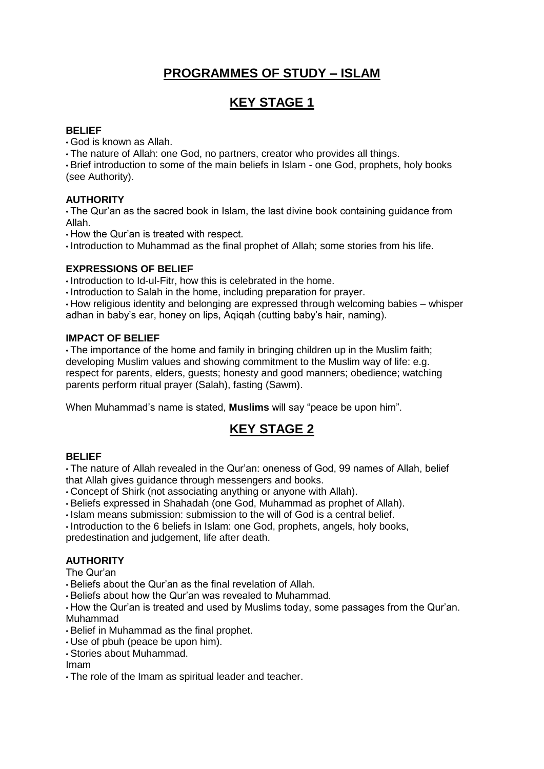## **PROGRAMMES OF STUDY – ISLAM**

# **KEY STAGE 1**

## **BELIEF**

• God is known as Allah.

• The nature of Allah: one God, no partners, creator who provides all things.

• Brief introduction to some of the main beliefs in Islam - one God, prophets, holy books (see Authority).

## **AUTHORITY**

• The Qur'an as the sacred book in Islam, the last divine book containing guidance from Allah.

• How the Qur'an is treated with respect.

• Introduction to Muhammad as the final prophet of Allah; some stories from his life.

## **EXPRESSIONS OF BELIEF**

• Introduction to Id-ul-Fitr, how this is celebrated in the home.

• Introduction to Salah in the home, including preparation for prayer.

• How religious identity and belonging are expressed through welcoming babies – whisper adhan in baby's ear, honey on lips, Aqiqah (cutting baby's hair, naming).

## **IMPACT OF BELIEF**

• The importance of the home and family in bringing children up in the Muslim faith; developing Muslim values and showing commitment to the Muslim way of life: e.g. respect for parents, elders, guests; honesty and good manners; obedience; watching parents perform ritual prayer (Salah), fasting (Sawm).

When Muhammad's name is stated, **Muslims** will say "peace be upon him".

## **KEY STAGE 2**

### **BELIEF**

• The nature of Allah revealed in the Qur'an: oneness of God, 99 names of Allah, belief that Allah gives guidance through messengers and books.

• Concept of Shirk (not associating anything or anyone with Allah).

• Beliefs expressed in Shahadah (one God, Muhammad as prophet of Allah).

• Islam means submission: submission to the will of God is a central belief.

• Introduction to the 6 beliefs in Islam: one God, prophets, angels, holy books, predestination and judgement, life after death.

### **AUTHORITY**

The Qur'an

• Beliefs about the Qur'an as the final revelation of Allah.

• Beliefs about how the Qur'an was revealed to Muhammad.

• How the Qur'an is treated and used by Muslims today, some passages from the Qur'an. Muhammad

• Belief in Muhammad as the final prophet.

• Use of pbuh (peace be upon him).

• Stories about Muhammad.

Imam

• The role of the Imam as spiritual leader and teacher.